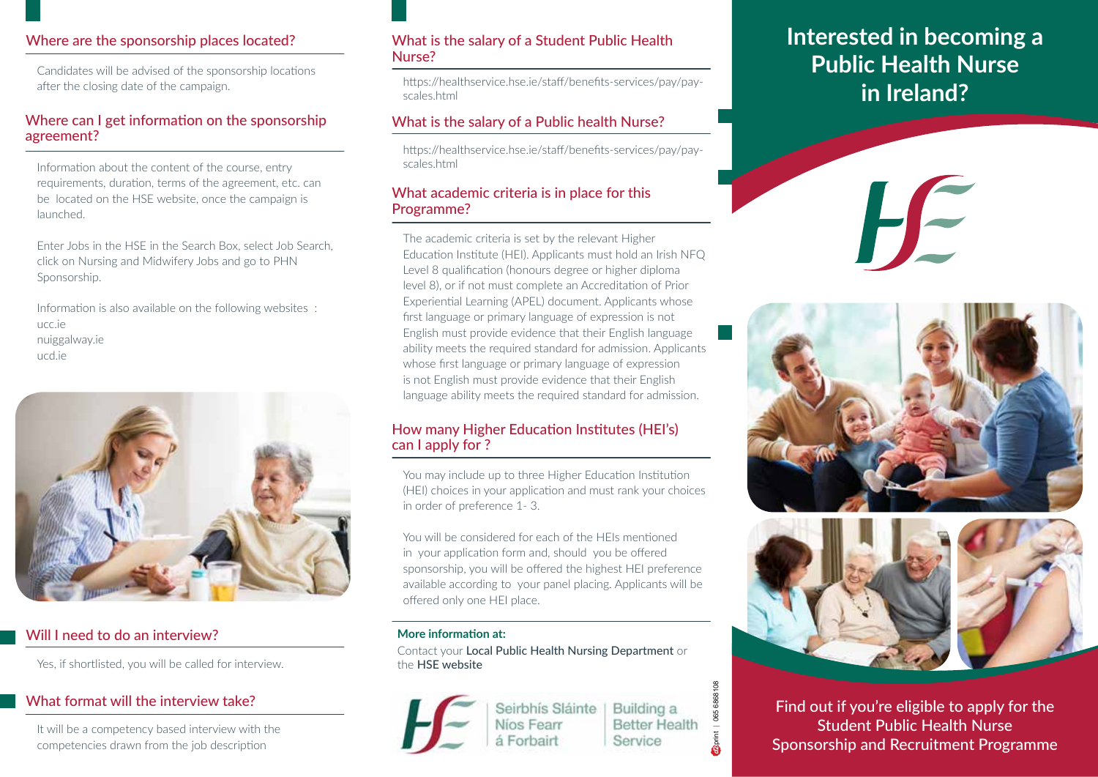# Where are the sponsorship places located?

Candidates will be advised of the sponsorship locations after the closing date of the campaign.

# Where can I get information on the sponsorship agreement?

Information about the content of the course, entry requirements, duration, terms of the agreement, etc. can be located on the HSE website, once the campaign is launched.

Enter Jobs in the HSE in the Search Box, select Job Search, click on Nursing and Midwifery Jobs and go to PHN Sponsorship.

Information is also available on the following websites : ucc.ie nuiggalway.ie ucd.ie



# Will I need to do an interview?

Yes, if shortlisted, you will be called for interview.

# What format will the interview take?

It will be a competency based interview with the competencies drawn from the job description

# What is the salary of a Student Public Health Nurse?

https://healthservice.hse.ie/staff/benefits-services/pay/payscales.html

# What is the salary of a Public health Nurse?

https://healthservice.hse.ie/staff/benefits-services/pay/payscales.html

# What academic criteria is in place for this Programme?

The academic criteria is set by the relevant Higher Education Institute (HEI). Applicants must hold an Irish NFQ Level 8 qualification (honours degree or higher diploma level 8), or if not must complete an Accreditation of Prior Experiential Learning (APEL) document. Applicants whose first language or primary language of expression is not English must provide evidence that their English language ability meets the required standard for admission. Applicants whose first language or primary language of expression is not English must provide evidence that their English language ability meets the required standard for admission.

# How many Higher Education Institutes (HEI's) can I apply for ?

You may include up to three Higher Education Institution (HEI) choices in your application and must rank your choices in order of preference 1- 3.

You will be considered for each of the HEIs mentioned in your application form and, should you be offered sponsorship, you will be offered the highest HEI preference available according to your panel placing. Applicants will be offered only one HEI place.

#### **More information at:**

Contact your Local Public Health Nursing Department or the HSE website

> Seirbhís Sláinte Níos Fearr á Forbairt

Building a **Better Health** Service

**d2** print | 065 6868108

065 6868108

# **Interested in becoming a Public Health Nurse in Ireland?**

HE





Find out if you're eligible to apply for the Student Public Health Nurse Sponsorship and Recruitment Programme